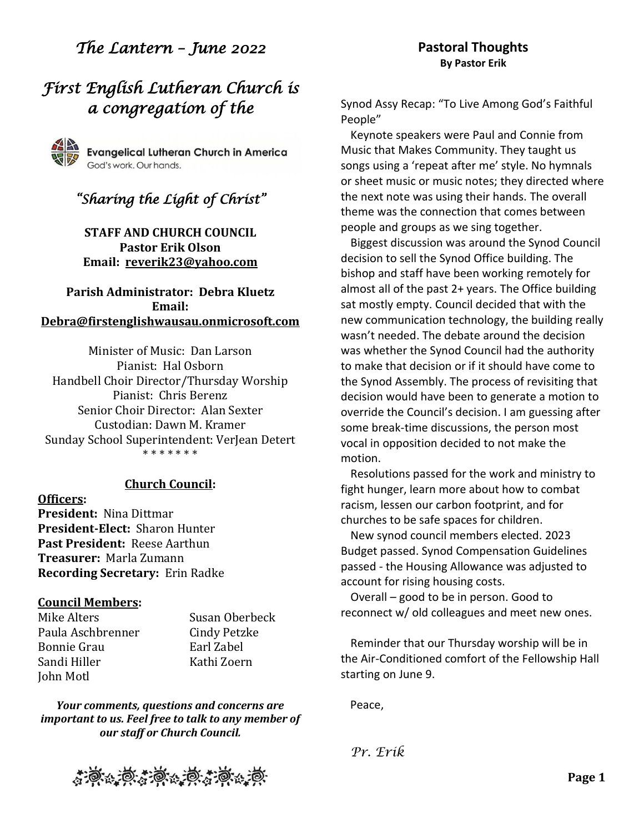# *The Lantern – June 2022*

# *First English Lutheran Church is a congregation of the*



# *"Sharing the Light of Christ"*

**STAFF AND CHURCH COUNCIL Pastor Erik Olson Email: [reverik23@yahoo.com](about:blank)**

**Parish Administrator: Debra Kluetz Email: [Debra@firstenglishwausau.onmicrosoft.com](about:blank)**

Minister of Music: Dan Larson Pianist: Hal Osborn Handbell Choir Director/Thursday Worship Pianist: Chris Berenz Senior Choir Director: Alan Sexter Custodian: Dawn M. Kramer Sunday School Superintendent: VerJean Detert \* \* \* \* \* \* \*

#### **Church Council:**

**Officers: President:** Nina Dittmar **President-Elect:** Sharon Hunter **Past President:** Reese Aarthun **Treasurer:** Marla Zumann **Recording Secretary:** Erin Radke

### **Council Members:**

Mike Alters Susan Oberbeck Paula Aschbrenner Cindy Petzke Bonnie Grau Farl Zabel Sandi Hiller Kathi Zoern John Motl

*Your comments, questions and concerns are important to us. Feel free to talk to any member of our staff or Church Council.*



Synod Assy Recap: "To Live Among God's Faithful People"

Keynote speakers were Paul and Connie from Music that Makes Community. They taught us songs using a 'repeat after me' style. No hymnals or sheet music or music notes; they directed where the next note was using their hands. The overall theme was the connection that comes between people and groups as we sing together.

Biggest discussion was around the Synod Council decision to sell the Synod Office building. The bishop and staff have been working remotely for almost all of the past 2+ years. The Office building sat mostly empty. Council decided that with the new communication technology, the building really wasn't needed. The debate around the decision was whether the Synod Council had the authority to make that decision or if it should have come to the Synod Assembly. The process of revisiting that decision would have been to generate a motion to override the Council's decision. I am guessing after some break-time discussions, the person most vocal in opposition decided to not make the motion.

Resolutions passed for the work and ministry to fight hunger, learn more about how to combat racism, lessen our carbon footprint, and for churches to be safe spaces for children.

New synod council members elected. 2023 Budget passed. Synod Compensation Guidelines passed - the Housing Allowance was adjusted to account for rising housing costs.

Overall – good to be in person. Good to reconnect w/ old colleagues and meet new ones.

Reminder that our Thursday worship will be in the Air-Conditioned comfort of the Fellowship Hall starting on June 9.

Peace,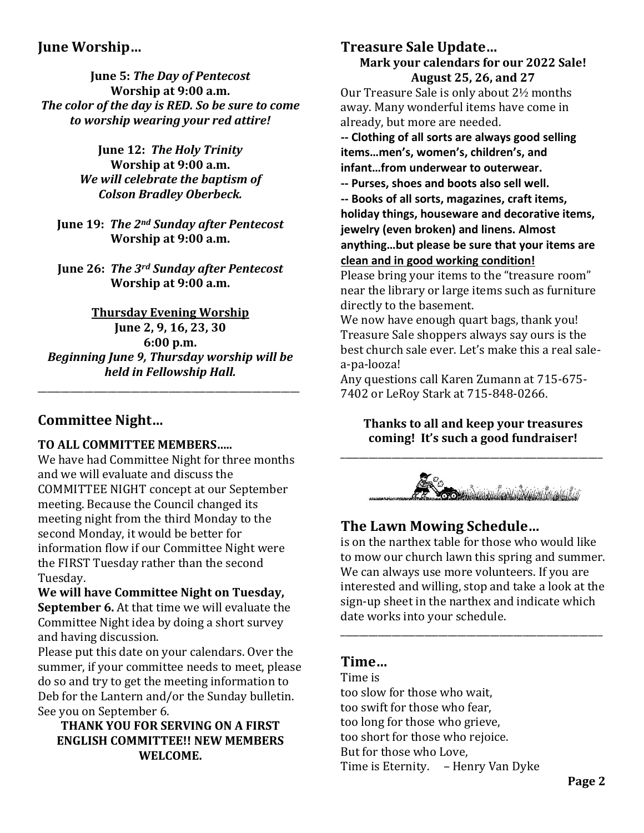## **June Worship…**

**June 5:** *The Day of Pentecost* **Worship at 9:00 a.m.** *The color of the day is RED. So be sure to come to worship wearing your red attire!*

> **June 12:** *The Holy Trinity* **Worship at 9:00 a.m.** *We will celebrate the baptism of Colson Bradley Oberbeck.*

**June 19:** *The 2nd Sunday after Pentecost* **Worship at 9:00 a.m.**

**June 26:** *The 3rd Sunday after Pentecost* **Worship at 9:00 a.m.**

**Thursday Evening Worship June 2, 9, 16, 23, 30 6:00 p.m.** *Beginning June 9, Thursday worship will be held in Fellowship Hall.*

\_\_\_\_\_\_\_\_\_\_\_\_\_\_\_\_\_\_\_\_\_\_\_\_\_\_\_\_\_\_\_\_\_\_\_\_\_\_\_\_\_\_\_\_\_\_\_\_\_\_\_\_\_\_\_\_

## **Committee Night…**

### **TO ALL COMMITTEE MEMBERS…..**

We have had Committee Night for three months and we will evaluate and discuss the COMMITTEE NIGHT concept at our September meeting. Because the Council changed its meeting night from the third Monday to the second Monday, it would be better for information flow if our Committee Night were the FIRST Tuesday rather than the second Tuesday.

**We will have Committee Night on Tuesday, September 6.** At that time we will evaluate the Committee Night idea by doing a short survey and having discussion.

Please put this date on your calendars. Over the summer, if your committee needs to meet, please do so and try to get the meeting information to Deb for the Lantern and/or the Sunday bulletin. See you on September 6.

### **THANK YOU FOR SERVING ON A FIRST ENGLISH COMMITTEE!! NEW MEMBERS WELCOME.**

### **Treasure Sale Update… Mark your calendars for our 2022 Sale! August 25, 26, and 27**

Our Treasure Sale is only about 2½ months away. Many wonderful items have come in already, but more are needed.

**-- Clothing of all sorts are always good selling items…men's, women's, children's, and infant…from underwear to outerwear.** 

**-- Purses, shoes and boots also sell well.**

**-- Books of all sorts, magazines, craft items,** 

**holiday things, houseware and decorative items, jewelry (even broken) and linens. Almost** 

**anything…but please be sure that your items are clean and in good working condition!**

Please bring your items to the "treasure room" near the library or large items such as furniture directly to the basement.

We now have enough quart bags, thank you! Treasure Sale shoppers always say ours is the best church sale ever. Let's make this a real salea-pa-looza!

Any questions call Karen Zumann at 715-675- 7402 or LeRoy Stark at 715-848-0266.

**Thanks to all and keep your treasures coming! It's such a good fundraiser!**

\_\_\_\_\_\_\_\_\_\_\_\_\_\_\_\_\_\_\_\_\_\_\_\_\_\_\_\_\_\_\_\_\_\_\_\_\_\_\_\_\_\_\_\_\_\_\_\_\_\_\_\_\_\_\_\_



# **The Lawn Mowing Schedule…**

is on the narthex table for those who would like to mow our church lawn this spring and summer. We can always use more volunteers. If you are interested and willing, stop and take a look at the sign-up sheet in the narthex and indicate which date works into your schedule.

\_\_\_\_\_\_\_\_\_\_\_\_\_\_\_\_\_\_\_\_\_\_\_\_\_\_\_\_\_\_\_\_\_\_\_\_\_\_\_\_\_\_\_\_\_\_\_\_\_\_\_\_\_\_\_\_

## **Time…**

Time is too slow for those who wait, too swift for those who fear, too long for those who grieve, too short for those who rejoice. But for those who Love, Time is Eternity. – Henry Van Dyke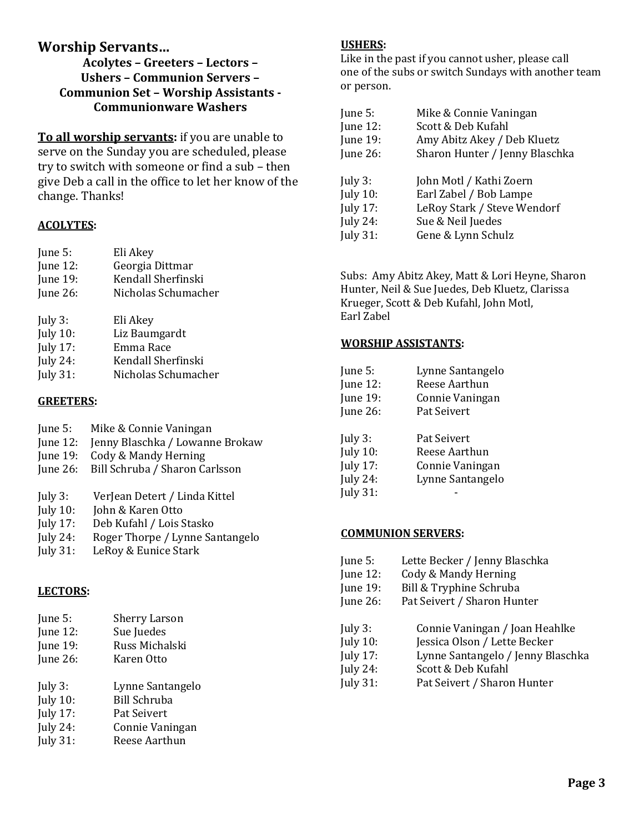### **Worship Servants…**

**Acolytes – Greeters – Lectors – Ushers – Communion Servers – Communion Set – Worship Assistants - Communionware Washers**

**To all worship servants:** if you are unable to serve on the Sunday you are scheduled, please try to switch with someone or find a sub – then give Deb a call in the office to let her know of the change. Thanks!

#### **ACOLYTES:**

| June $5$ :      | Eli Akey            |
|-----------------|---------------------|
| June $12$ :     | Georgia Dittmar     |
| June 19:        | Kendall Sherfinski  |
| June 26:        | Nicholas Schumacher |
| July $3$ :      | Eli Akey            |
| <b>July 10:</b> | Liz Baumgardt       |
| Iuly $17:$      | Emma Race           |

- July 17:<br>July 24: Kendall Sherfinski
- July 31: Nicholas Schumacher

### **GREETERS:**

| June 5:     | Mike & Connie Vaningan                  |
|-------------|-----------------------------------------|
| June $12$ : | Jenny Blaschka / Lowanne Brokaw         |
| June $19:$  | Cody & Mandy Herning                    |
|             | June 26: Bill Schruba / Sharon Carlsson |
|             |                                         |
| July 3:     | VerJean Detert / Linda Kittel           |

- July 10: John & Karen Otto
- July 17: Deb Kufahl / Lois Stasko
- July 24: Roger Thorpe / Lynne Santangelo
- July 31: LeRoy & Eunice Stark

### **LECTORS:**

| June 5:            | <b>Sherry Larson</b> |
|--------------------|----------------------|
| June $12$ :        | Sue Juedes           |
| June 19:           | Russ Michalski       |
| June $26$ :        | Karen Otto           |
| July $3$ :         | Lynne Santangelo     |
| $I_{11}I_{17}$ 10. | <b>Dill Cohruho</b>  |

- July 10: Bill Schruba July 17: Pat Seivert
- July 24: Connie Vaningan
- July 31: Reese Aarthun

### **USHERS:**

Like in the past if you cannot usher, please call one of the subs or switch Sundays with another team or person.

| June 5:         | Mike & Connie Vaningan         |
|-----------------|--------------------------------|
| June $12$ :     | Scott & Deb Kufahl             |
| <b>June 19:</b> | Amy Abitz Akey / Deb Kluetz    |
| June 26:        | Sharon Hunter / Jenny Blaschka |
|                 |                                |
| July $3$ :      | John Motl / Kathi Zoern        |
| <b>July 10:</b> | Earl Zabel / Bob Lampe         |
| July 17:        | LeRoy Stark / Steve Wendorf    |
| July 24:        | Sue & Neil Juedes              |
| July $31$ :     | Gene & Lynn Schulz             |

Subs: Amy Abitz Akey, Matt & Lori Heyne, Sharon Hunter, Neil & Sue Juedes, Deb Kluetz, Clarissa Krueger, Scott & Deb Kufahl, John Motl, Earl Zabel

#### **WORSHIP ASSISTANTS:**

| June 5:         | Lynne Santangelo |
|-----------------|------------------|
| June 12:        | Reese Aarthun    |
| June 19:        | Connie Vaningan  |
| June $26$ :     | Pat Seivert      |
| July $3$ :      | Pat Seivert      |
| <b>July 10:</b> | Reese Aarthun    |
| <b>July 17:</b> | Connie Vaningan  |
| <b>July 24:</b> | Lynne Santangelo |
| <b>July 31:</b> |                  |

#### **COMMUNION SERVERS:**

| June 5:     | Lette Becker / Jenny Blaschka     |
|-------------|-----------------------------------|
| June 12:    | Cody & Mandy Herning              |
| June 19:    | Bill & Tryphine Schruba           |
| June 26:    | Pat Seivert / Sharon Hunter       |
| July $3:$   | Connie Vaningan / Joan Heahlke    |
| July $10$ : | Jessica Olson / Lette Becker      |
| July 17:    | Lynne Santangelo / Jenny Blaschka |
| July 24:    | Scott & Deb Kufahl                |
| July 31:    | Pat Seivert / Sharon Hunter       |
|             |                                   |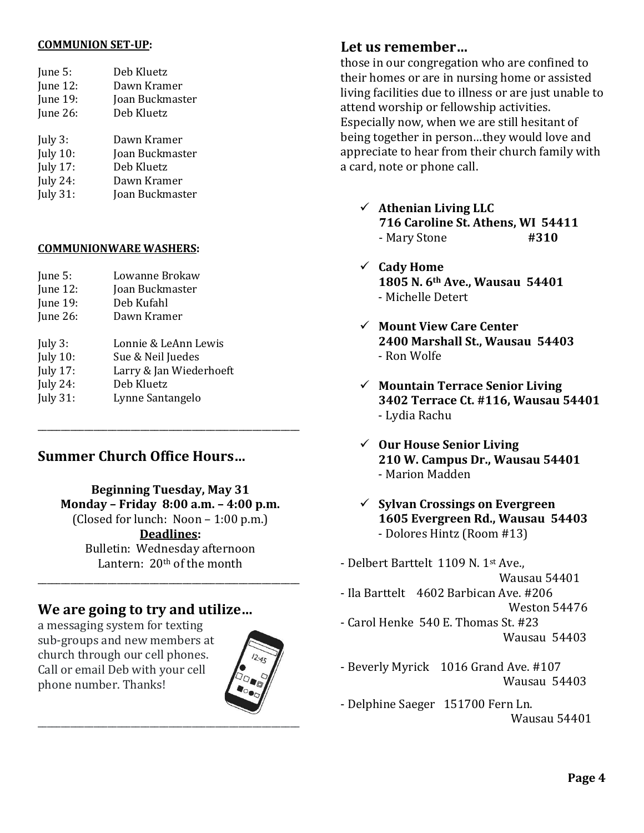#### **COMMUNION SET-UP:**

| June 5:         | Deb Kluetz      |
|-----------------|-----------------|
| <b>June 12:</b> | Dawn Kramer     |
| <b>June 19:</b> | Joan Buckmaster |
| June $26$ :     | Deb Kluetz      |
| July $3$ :      | Dawn Kramer     |
| <b>July 10:</b> | Joan Buckmaster |
| <b>July 17:</b> | Deb Kluetz      |
| <b>July 24:</b> | Dawn Kramer     |
| <b>July 31:</b> | Joan Buckmaster |
|                 |                 |

#### **COMMUNIONWARE WASHERS:**

| June 5:         | Lowanne Brokaw          |
|-----------------|-------------------------|
| June 12:        | Joan Buckmaster         |
| June 19:        | Deb Kufahl              |
| June $26$ :     | Dawn Kramer             |
| July $3$ :      | Lonnie & LeAnn Lewis    |
| <b>July 10:</b> | Sue & Neil Juedes       |
| <b>July 17:</b> | Larry & Jan Wiederhoeft |
| <b>July 24:</b> | Deb Kluetz              |
| <b>July 31:</b> | Lynne Santangelo        |
|                 |                         |

## **Summer Church Office Hours…**

**Beginning Tuesday, May 31 Monday – Friday 8:00 a.m. – 4:00 p.m.** (Closed for lunch: Noon  $-1:00$  p.m.) **Deadlines:** Bulletin: Wednesday afternoon Lantern: 20th of the month \_\_\_\_\_\_\_\_\_\_\_\_\_\_\_\_\_\_\_\_\_\_\_\_\_\_\_\_\_\_\_\_\_\_\_\_\_\_\_\_\_\_\_\_\_\_\_\_\_\_\_\_\_\_\_\_

\_\_\_\_\_\_\_\_\_\_\_\_\_\_\_\_\_\_\_\_\_\_\_\_\_\_\_\_\_\_\_\_\_\_\_\_\_\_\_\_\_\_\_\_\_\_\_\_\_\_\_\_\_\_\_\_

### **We are going to try and utilize…**

a messaging system for texting sub-groups and new members at church through our cell phones. Call or email Deb with your cell phone number. Thanks!



### **Let us remember…**

those in our congregation who are confined to their homes or are in nursing home or assisted living facilities due to illness or are just unable to attend worship or fellowship activities. Especially now, when we are still hesitant of being together in person…they would love and appreciate to hear from their church family with a card, note or phone call.

- ✓ **Athenian Living LLC 716 Caroline St. Athens, WI 54411** - Mary Stone **#310**
- ✓ **Cady Home 1805 N. 6th Ave., Wausau 54401** - Michelle Detert
- ✓ **Mount View Care Center 2400 Marshall St., Wausau 54403** - Ron Wolfe
- ✓ **Mountain Terrace Senior Living 3402 Terrace Ct. #116, Wausau 54401** - Lydia Rachu
- ✓ **Our House Senior Living 210 W. Campus Dr., Wausau 54401** - Marion Madden
- ✓ **Sylvan Crossings on Evergreen 1605 Evergreen Rd., Wausau 54403** - Dolores Hintz (Room #13)

- Delbert Barttelt 1109 N. 1st Ave., Wausau 54401 - Ila Barttelt 4602 Barbican Ave. #206 Weston 54476 - Carol Henke 540 E. Thomas St. #23 Wausau 54403

- Beverly Myrick 1016 Grand Ave. #107 Wausau 54403
- Delphine Saeger 151700 Fern Ln. Wausau 54401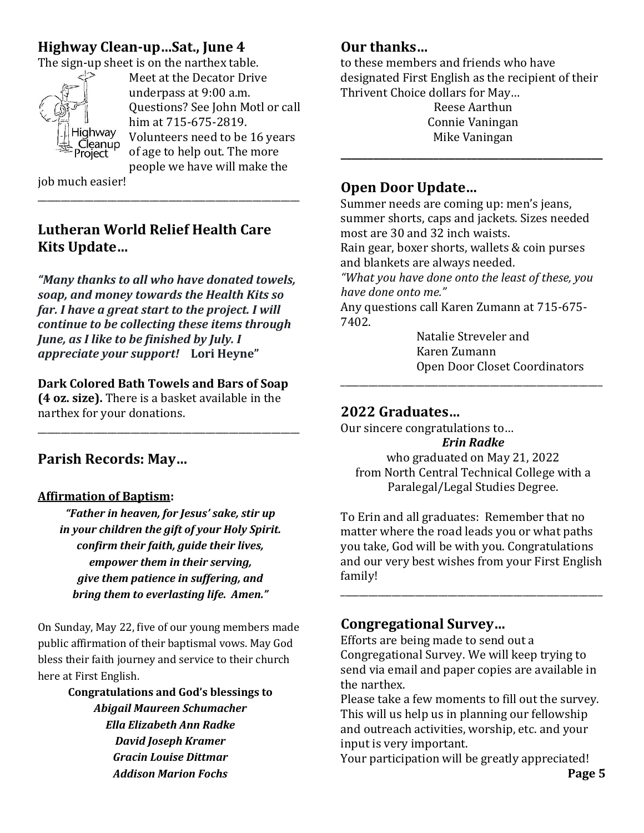# **Highway Clean-up…Sat., June 4**

The sign-up sheet is on the narthex table.



Meet at the Decator Drive underpass at 9:00 a.m. Questions? See John Motl or call him at 715-675-2819. Volunteers need to be 16 years of age to help out. The more people we have will make the

job much easier!

# **Lutheran World Relief Health Care Kits Update…**

\_\_\_\_\_\_\_\_\_\_\_\_\_\_\_\_\_\_\_\_\_\_\_\_\_\_\_\_\_\_\_\_\_\_\_\_\_\_\_\_\_\_\_\_\_\_\_\_\_\_\_\_\_\_\_\_

*"Many thanks to all who have donated towels, soap, and money towards the Health Kits so far. I have a great start to the project. I will continue to be collecting these items through June, as I like to be finished by July. I appreciate your support!* **Lori Heyne"**

### **Dark Colored Bath Towels and Bars of Soap**

**(4 oz. size).** There is a basket available in the narthex for your donations.

\_\_\_\_\_\_\_\_\_\_\_\_\_\_\_\_\_\_\_\_\_\_\_\_\_\_\_\_\_\_\_\_\_\_\_\_\_\_\_\_\_\_\_\_\_\_\_\_\_\_\_\_\_\_\_\_

# **Parish Records: May…**

### **Affirmation of Baptism:**

*"Father in heaven, for Jesus' sake, stir up in your children the gift of your Holy Spirit. confirm their faith, guide their lives, empower them in their serving, give them patience in suffering, and bring them to everlasting life. Amen."*

On Sunday, May 22, five of our young members made public affirmation of their baptismal vows. May God bless their faith journey and service to their church here at First English.

> **Congratulations and God's blessings to**  *Abigail Maureen Schumacher Ella Elizabeth Ann Radke David Joseph Kramer Gracin Louise Dittmar Addison Marion Fochs*

# **Our thanks…**

to these members and friends who have designated First English as the recipient of their Thrivent Choice dollars for May…

Reese Aarthun Connie Vaningan Mike Vaningan

**\_\_\_\_\_\_\_\_\_\_\_\_\_\_\_\_\_\_\_\_\_\_\_\_\_\_\_\_\_\_\_\_\_\_\_\_\_\_\_\_\_\_\_\_\_\_\_\_**

## **Open Door Update…**

Summer needs are coming up: men's jeans, summer shorts, caps and jackets. Sizes needed most are 30 and 32 inch waists.

Rain gear, boxer shorts, wallets & coin purses and blankets are always needed.

*"What you have done onto the least of these, you have done onto me."*

Any questions call Karen Zumann at 715-675- 7402.

Natalie Streveler and Karen Zumann Open Door Closet Coordinators

## **2022 Graduates…**

Our sincere congratulations to…

*Erin Radke* who graduated on May 21, 2022 from North Central Technical College with a Paralegal/Legal Studies Degree.

\_\_\_\_\_\_\_\_\_\_\_\_\_\_\_\_\_\_\_\_\_\_\_\_\_\_\_\_\_\_\_\_\_\_\_\_\_\_\_\_\_\_\_\_\_\_\_\_\_\_\_\_\_\_\_\_

To Erin and all graduates: Remember that no matter where the road leads you or what paths you take, God will be with you. Congratulations and our very best wishes from your First English family!

\_\_\_\_\_\_\_\_\_\_\_\_\_\_\_\_\_\_\_\_\_\_\_\_\_\_\_\_\_\_\_\_\_\_\_\_\_\_\_\_\_\_\_\_\_\_\_\_\_\_\_\_\_\_\_\_

# **Congregational Survey…**

Efforts are being made to send out a Congregational Survey. We will keep trying to send via email and paper copies are available in the narthex.

Please take a few moments to fill out the survey. This will us help us in planning our fellowship and outreach activities, worship, etc. and your input is very important.

Your participation will be greatly appreciated!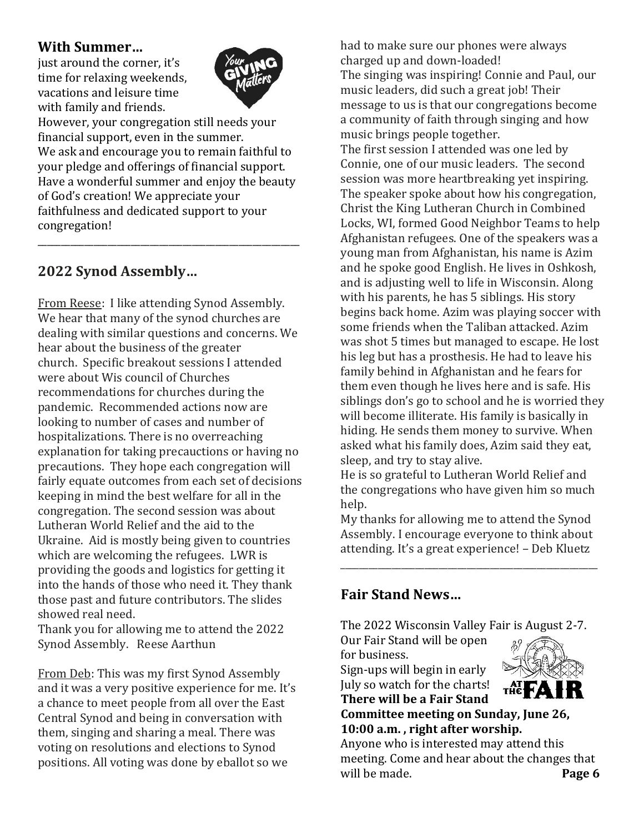### **With Summer…**

just around the corner, it's time for relaxing weekends, vacations and leisure time with family and friends.



However, your congregation still needs your financial support, even in the summer. We ask and encourage you to remain faithful to your pledge and offerings of financial support. Have a wonderful summer and enjoy the beauty of God's creation! We appreciate your faithfulness and dedicated support to your congregation!

\_\_\_\_\_\_\_\_\_\_\_\_\_\_\_\_\_\_\_\_\_\_\_\_\_\_\_\_\_\_\_\_\_\_\_\_\_\_\_\_\_\_\_\_\_\_\_\_\_\_\_\_\_\_\_\_

# **2022 Synod Assembly…**

From Reese: I like attending Synod Assembly. We hear that many of the synod churches are dealing with similar questions and concerns. We hear about the business of the greater church. Specific breakout sessions I attended were about Wis council of Churches recommendations for churches during the pandemic. Recommended actions now are looking to number of cases and number of hospitalizations. There is no overreaching explanation for taking precauctions or having no precautions. They hope each congregation will fairly equate outcomes from each set of decisions keeping in mind the best welfare for all in the congregation. The second session was about Lutheran World Relief and the aid to the Ukraine. Aid is mostly being given to countries which are welcoming the refugees. LWR is providing the goods and logistics for getting it into the hands of those who need it. They thank those past and future contributors. The slides showed real need.

Thank you for allowing me to attend the 2022 Synod Assembly. Reese Aarthun

From Deb: This was my first Synod Assembly and it was a very positive experience for me. It's a chance to meet people from all over the East Central Synod and being in conversation with them, singing and sharing a meal. There was voting on resolutions and elections to Synod positions. All voting was done by eballot so we

had to make sure our phones were always charged up and down-loaded!

The singing was inspiring! Connie and Paul, our music leaders, did such a great job! Their message to us is that our congregations become a community of faith through singing and how music brings people together.

The first session I attended was one led by Connie, one of our music leaders. The second session was more heartbreaking yet inspiring. The speaker spoke about how his congregation, Christ the King Lutheran Church in Combined Locks, WI, formed Good Neighbor Teams to help Afghanistan refugees. One of the speakers was a young man from Afghanistan, his name is Azim and he spoke good English. He lives in Oshkosh, and is adjusting well to life in Wisconsin. Along with his parents, he has 5 siblings. His story begins back home. Azim was playing soccer with some friends when the Taliban attacked. Azim was shot 5 times but managed to escape. He lost his leg but has a prosthesis. He had to leave his family behind in Afghanistan and he fears for them even though he lives here and is safe. His siblings don's go to school and he is worried they will become illiterate. His family is basically in hiding. He sends them money to survive. When asked what his family does, Azim said they eat, sleep, and try to stay alive.

He is so grateful to Lutheran World Relief and the congregations who have given him so much help.

My thanks for allowing me to attend the Synod Assembly. I encourage everyone to think about attending. It's a great experience! – Deb Kluetz

\_\_\_\_\_\_\_\_\_\_\_\_\_\_\_\_\_\_\_\_\_\_\_\_\_\_\_\_\_\_\_\_\_\_\_\_\_\_\_\_\_\_\_\_\_\_\_\_\_\_\_\_\_\_\_

# **Fair Stand News…**

The 2022 Wisconsin Valley Fair is August 2-7.

Our Fair Stand will be open for business.

Sign-ups will begin in early July so watch for the charts! **There will be a Fair Stand**



**Committee meeting on Sunday, June 26, 10:00 a.m. , right after worship.**

Anyone who is interested may attend this meeting. Come and hear about the changes that will be made. **Page 6**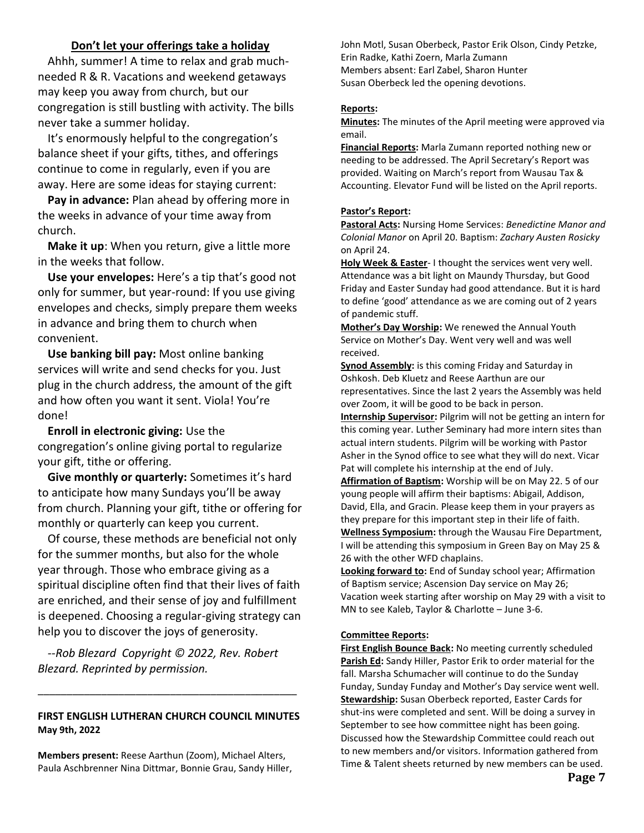#### **Don't let your offerings take a holiday**

Ahhh, summer! A time to relax and grab muchneeded R & R. Vacations and weekend getaways may keep you away from church, but our congregation is still bustling with activity. The bills never take a summer holiday.

It's enormously helpful to the congregation's balance sheet if your gifts, tithes, and offerings continue to come in regularly, even if you are away. Here are some ideas for staying current:

**Pay in advance:** Plan ahead by offering more in the weeks in advance of your time away from church.

**Make it up**: When you return, give a little more in the weeks that follow.

**Use your envelopes:** Here's a tip that's good not only for summer, but year-round: If you use giving envelopes and checks, simply prepare them weeks in advance and bring them to church when convenient.

**Use banking bill pay:** Most online banking services will write and send checks for you. Just plug in the church address, the amount of the gift and how often you want it sent. Viola! You're done!

**Enroll in electronic giving:** Use the congregation's online giving portal to regularize your gift, tithe or offering.

**Give monthly or quarterly:** Sometimes it's hard to anticipate how many Sundays you'll be away from church. Planning your gift, tithe or offering for monthly or quarterly can keep you current.

Of course, these methods are beneficial not only for the summer months, but also for the whole year through. Those who embrace giving as a spiritual discipline often find that their lives of faith are enriched, and their sense of joy and fulfillment is deepened. Choosing a regular-giving strategy can help you to discover the joys of generosity.

*--Rob Blezard Copyright © 2022, Rev. Robert Blezard. Reprinted by permission.*

#### **FIRST ENGLISH LUTHERAN CHURCH COUNCIL MINUTES May 9th, 2022**

\_\_\_\_\_\_\_\_\_\_\_\_\_\_\_\_\_\_\_\_\_\_\_\_\_\_\_\_\_\_\_\_\_\_\_\_\_\_\_\_\_\_\_\_\_

**Members present:** Reese Aarthun (Zoom), Michael Alters, Paula Aschbrenner Nina Dittmar, Bonnie Grau, Sandy Hiller, John Motl, Susan Oberbeck, Pastor Erik Olson, Cindy Petzke, Erin Radke, Kathi Zoern, Marla Zumann Members absent: Earl Zabel, Sharon Hunter Susan Oberbeck led the opening devotions.

#### **Reports:**

**Minutes:** The minutes of the April meeting were approved via email.

**Financial Reports:** Marla Zumann reported nothing new or needing to be addressed. The April Secretary's Report was provided. Waiting on March's report from Wausau Tax & Accounting. Elevator Fund will be listed on the April reports.

#### **Pastor's Report:**

**Pastoral Acts:** Nursing Home Services: *Benedictine Manor and Colonial Manor* on April 20. Baptism: *Zachary Austen Rosicky*  on April 24.

**Holy Week & Easter**- I thought the services went very well. Attendance was a bit light on Maundy Thursday, but Good Friday and Easter Sunday had good attendance. But it is hard to define 'good' attendance as we are coming out of 2 years of pandemic stuff.

**Mother's Day Worship:** We renewed the Annual Youth Service on Mother's Day. Went very well and was well received.

**Synod Assembly:** is this coming Friday and Saturday in Oshkosh. Deb Kluetz and Reese Aarthun are our representatives. Since the last 2 years the Assembly was held over Zoom, it will be good to be back in person.

**Internship Supervisor:** Pilgrim will not be getting an intern for this coming year. Luther Seminary had more intern sites than actual intern students. Pilgrim will be working with Pastor Asher in the Synod office to see what they will do next. Vicar Pat will complete his internship at the end of July.

**Affirmation of Baptism:** Worship will be on May 22. 5 of our young people will affirm their baptisms: Abigail, Addison, David, Ella, and Gracin. Please keep them in your prayers as they prepare for this important step in their life of faith.

**Wellness Symposium:** through the Wausau Fire Department, I will be attending this symposium in Green Bay on May 25 & 26 with the other WFD chaplains.

**Looking forward to:** End of Sunday school year; Affirmation of Baptism service; Ascension Day service on May 26; Vacation week starting after worship on May 29 with a visit to MN to see Kaleb, Taylor & Charlotte – June 3-6.

#### **Committee Reports:**

**First English Bounce Back:** No meeting currently scheduled **Parish Ed:** Sandy Hiller, Pastor Erik to order material for the fall. Marsha Schumacher will continue to do the Sunday Funday, Sunday Funday and Mother's Day service went well. **Stewardship:** Susan Oberbeck reported, Easter Cards for shut-ins were completed and sent. Will be doing a survey in September to see how committee night has been going. Discussed how the Stewardship Committee could reach out to new members and/or visitors. Information gathered from Time & Talent sheets returned by new members can be used.